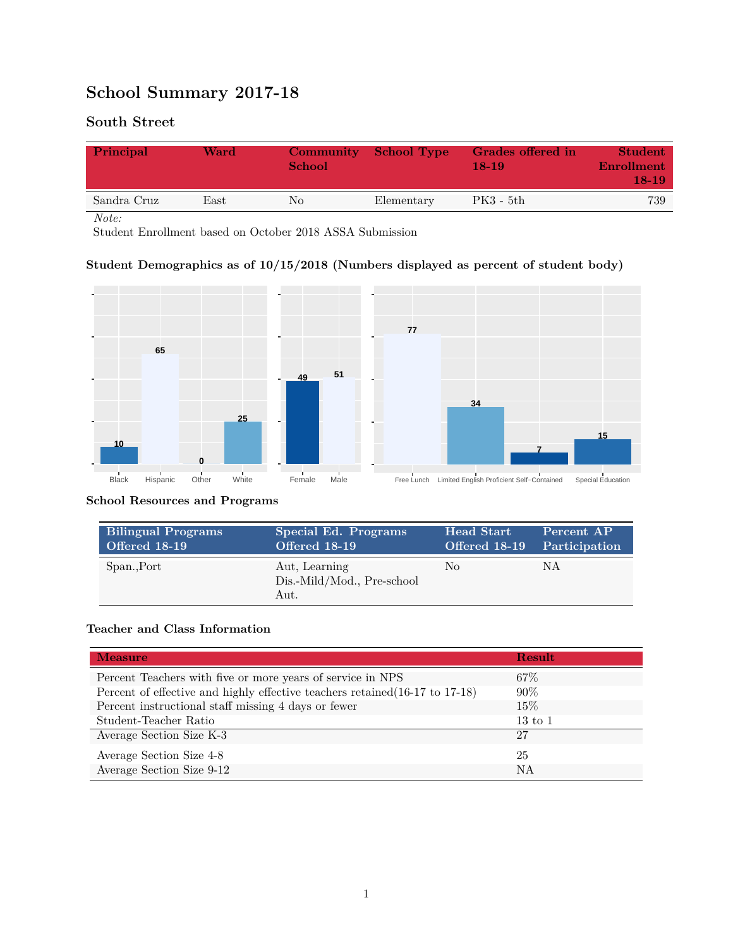# **School Summary 2017-18**

## **South Street**

| Principal   | Ward       | <b>Community</b><br><b>School</b> | <b>School Type</b> | Grades offered in<br>$18-19$ | <b>Student</b><br>Enrollment<br>$18-19$ |
|-------------|------------|-----------------------------------|--------------------|------------------------------|-----------------------------------------|
| Sandra Cruz | $\rm East$ | No                                | Elementary         | $PK3 - 5th$                  | 739                                     |

*Note:*

Student Enrollment based on October 2018 ASSA Submission

### **Student Demographics as of 10/15/2018 (Numbers displayed as percent of student body)**



#### **School Resources and Programs**

| <b>Bilingual Programs</b> | Special Ed. Programs                                | <b>Head Start</b>           | Percent AP |
|---------------------------|-----------------------------------------------------|-----------------------------|------------|
| <b>Offered 18-19</b>      | Offered 18-19                                       | Offered 18-19 Participation |            |
| Span., Port               | Aut, Learning<br>Dis.-Mild/Mod., Pre-school<br>Aut. | No                          | NΑ         |

#### **Teacher and Class Information**

| <b>Measure</b>                                                               | <b>Result</b>      |
|------------------------------------------------------------------------------|--------------------|
| Percent Teachers with five or more years of service in NPS                   | 67\%               |
| Percent of effective and highly effective teachers retained (16-17 to 17-18) | $90\%$             |
| Percent instructional staff missing 4 days or fewer                          | 15\%               |
| Student-Teacher Ratio                                                        | $13 \text{ to } 1$ |
| Average Section Size K-3                                                     | 27                 |
| Average Section Size 4-8                                                     | 25                 |
| Average Section Size 9-12                                                    | NA                 |